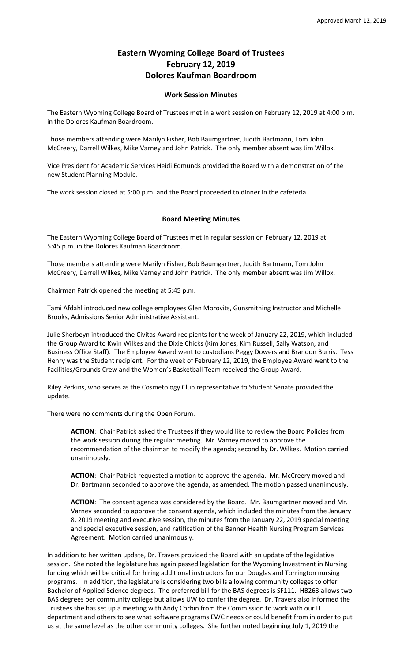## **Eastern Wyoming College Board of Trustees February 12, 2019 Dolores Kaufman Boardroom**

## **Work Session Minutes**

The Eastern Wyoming College Board of Trustees met in a work session on February 12, 2019 at 4:00 p.m. in the Dolores Kaufman Boardroom.

Those members attending were Marilyn Fisher, Bob Baumgartner, Judith Bartmann, Tom John McCreery, Darrell Wilkes, Mike Varney and John Patrick. The only member absent was Jim Willox.

Vice President for Academic Services Heidi Edmunds provided the Board with a demonstration of the new Student Planning Module.

The work session closed at 5:00 p.m. and the Board proceeded to dinner in the cafeteria.

## **Board Meeting Minutes**

The Eastern Wyoming College Board of Trustees met in regular session on February 12, 2019 at 5:45 p.m. in the Dolores Kaufman Boardroom.

Those members attending were Marilyn Fisher, Bob Baumgartner, Judith Bartmann, Tom John McCreery, Darrell Wilkes, Mike Varney and John Patrick. The only member absent was Jim Willox.

Chairman Patrick opened the meeting at 5:45 p.m.

Tami Afdahl introduced new college employees Glen Morovits, Gunsmithing Instructor and Michelle Brooks, Admissions Senior Administrative Assistant.

Julie Sherbeyn introduced the Civitas Award recipients for the week of January 22, 2019, which included the Group Award to Kwin Wilkes and the Dixie Chicks (Kim Jones, Kim Russell, Sally Watson, and Business Office Staff). The Employee Award went to custodians Peggy Dowers and Brandon Burris. Tess Henry was the Student recipient. For the week of February 12, 2019, the Employee Award went to the Facilities/Grounds Crew and the Women's Basketball Team received the Group Award.

Riley Perkins, who serves as the Cosmetology Club representative to Student Senate provided the update.

There were no comments during the Open Forum.

**ACTION**: Chair Patrick asked the Trustees if they would like to review the Board Policies from the work session during the regular meeting. Mr. Varney moved to approve the recommendation of the chairman to modify the agenda; second by Dr. Wilkes. Motion carried unanimously.

ACTION: Chair Patrick requested a motion to approve the agenda. Mr. McCreery moved and Dr. Bartmann seconded to approve the agenda, as amended. The motion passed unanimously.

**ACTION**: The consent agenda was considered by the Board. Mr. Baumgartner moved and Mr. Varney seconded to approve the consent agenda, which included the minutes from the January 8, 2019 meeting and executive session, the minutes from the January 22, 2019 special meeting and special executive session, and ratification of the Banner Health Nursing Program Services Agreement. Motion carried unanimously.

In addition to her written update, Dr. Travers provided the Board with an update of the legislative session. She noted the legislature has again passed legislation for the Wyoming Investment in Nursing funding which will be critical for hiring additional instructors for our Douglas and Torrington nursing programs. In addition, the legislature is considering two bills allowing community colleges to offer Bachelor of Applied Science degrees. The preferred bill for the BAS degrees is SF111. HB263 allows two BAS degrees per community college but allows UW to confer the degree. Dr. Travers also informed the Trustees she has set up a meeting with Andy Corbin from the Commission to work with our IT department and others to see what software programs EWC needs or could benefit from in order to put us at the same level as the other community colleges. She further noted beginning July 1, 2019 the